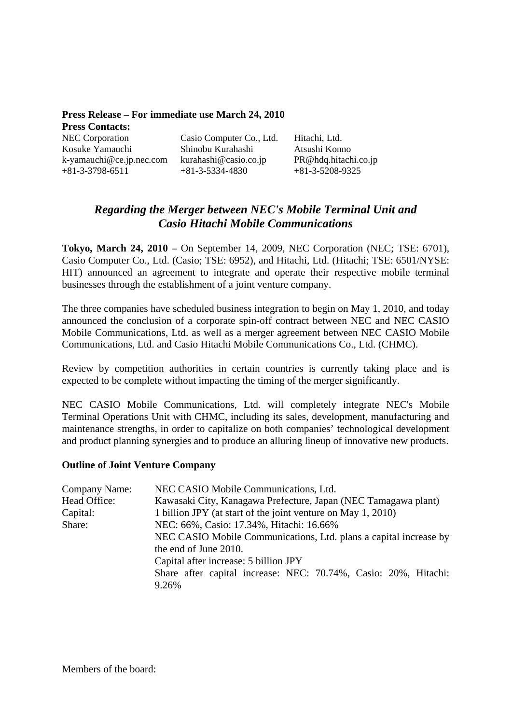| Press Release – For immediate use March 24, 2010 |                                            |                                           |  |
|--------------------------------------------------|--------------------------------------------|-------------------------------------------|--|
| <b>Press Contacts:</b>                           |                                            |                                           |  |
| <b>NEC Corporation</b>                           | Casio Computer Co., Ltd.                   | Hitachi, Ltd.                             |  |
| Kosuke Yamauchi                                  | Shinobu Kurahashi                          | Atsushi Konno                             |  |
| k-yamauchi@ce.jp.nec.com<br>$+81-3-3798-6511$    | kurahashi@casio.co.jp<br>$+81-3-5334-4830$ | PR@hdq.hitachi.co.jp<br>$+81-3-5208-9325$ |  |

# *Regarding the Merger between NEC's Mobile Terminal Unit and Casio Hitachi Mobile Communications*

**Tokyo, March 24, 2010** – On September 14, 2009, NEC Corporation (NEC; TSE: 6701), Casio Computer Co., Ltd. (Casio; TSE: 6952), and Hitachi, Ltd. (Hitachi; TSE: 6501/NYSE: HIT) announced an agreement to integrate and operate their respective mobile terminal businesses through the establishment of a joint venture company.

The three companies have scheduled business integration to begin on May 1, 2010, and today announced the conclusion of a corporate spin-off contract between NEC and NEC CASIO Mobile Communications, Ltd. as well as a merger agreement between NEC CASIO Mobile Communications, Ltd. and Casio Hitachi Mobile Communications Co., Ltd. (CHMC).

Review by competition authorities in certain countries is currently taking place and is expected to be complete without impacting the timing of the merger significantly.

NEC CASIO Mobile Communications, Ltd. will completely integrate NEC's Mobile Terminal Operations Unit with CHMC, including its sales, development, manufacturing and maintenance strengths, in order to capitalize on both companies' technological development and product planning synergies and to produce an alluring lineup of innovative new products.

## **Outline of Joint Venture Company**

| Company Name: | NEC CASIO Mobile Communications, Ltd.                                                                         |  |
|---------------|---------------------------------------------------------------------------------------------------------------|--|
| Head Office:  | Kawasaki City, Kanagawa Prefecture, Japan (NEC Tamagawa plant)                                                |  |
| Capital:      | 1 billion JPY (at start of the joint venture on May 1, 2010)                                                  |  |
| Share:        | NEC: 66%, Casio: 17.34%, Hitachi: 16.66%<br>NEC CASIO Mobile Communications, Ltd. plans a capital increase by |  |
|               |                                                                                                               |  |
|               | the end of June 2010.                                                                                         |  |
|               | Capital after increase: 5 billion JPY                                                                         |  |
|               | Share after capital increase: NEC: 70.74%, Casio: 20%, Hitachi:                                               |  |
|               | 9.26%                                                                                                         |  |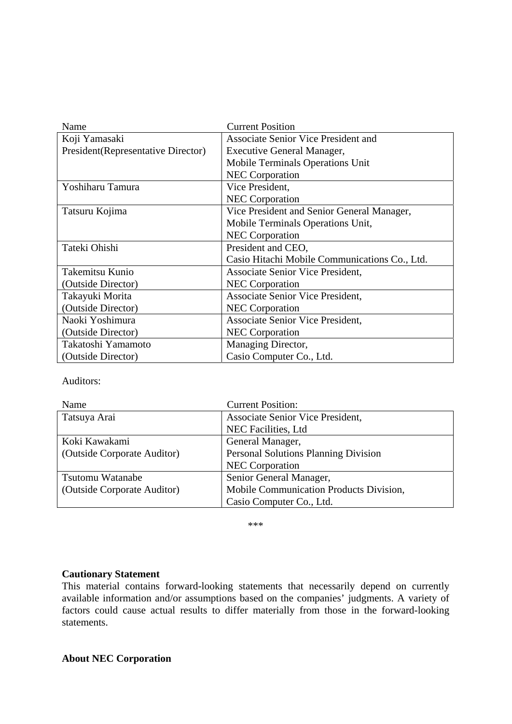| Name                                | <b>Current Position</b>                       |
|-------------------------------------|-----------------------------------------------|
| Koji Yamasaki                       | <b>Associate Senior Vice President and</b>    |
| President (Representative Director) | Executive General Manager,                    |
|                                     | Mobile Terminals Operations Unit              |
|                                     | <b>NEC</b> Corporation                        |
| Yoshiharu Tamura                    | Vice President,                               |
|                                     | <b>NEC</b> Corporation                        |
| Tatsuru Kojima                      | Vice President and Senior General Manager,    |
|                                     | Mobile Terminals Operations Unit,             |
|                                     | <b>NEC</b> Corporation                        |
| Tateki Ohishi                       | President and CEO,                            |
|                                     | Casio Hitachi Mobile Communications Co., Ltd. |
| Takemitsu Kunio                     | Associate Senior Vice President,              |
| (Outside Director)                  | <b>NEC</b> Corporation                        |
| Takayuki Morita                     | Associate Senior Vice President,              |
| (Outside Director)                  | <b>NEC</b> Corporation                        |
| Naoki Yoshimura                     | Associate Senior Vice President,              |
| (Outside Director)                  | <b>NEC</b> Corporation                        |
| Takatoshi Yamamoto                  | Managing Director,                            |
| (Outside Director)                  | Casio Computer Co., Ltd.                      |

Auditors:

| Name                        | <b>Current Position:</b>                    |
|-----------------------------|---------------------------------------------|
| Tatsuya Arai                | Associate Senior Vice President,            |
|                             | NEC Facilities, Ltd                         |
| Koki Kawakami               | General Manager,                            |
| (Outside Corporate Auditor) | <b>Personal Solutions Planning Division</b> |
|                             | <b>NEC</b> Corporation                      |
| Tsutomu Watanabe            | Senior General Manager,                     |
| (Outside Corporate Auditor) | Mobile Communication Products Division,     |
|                             | Casio Computer Co., Ltd.                    |

\*\*\*

## **Cautionary Statement**

This material contains forward-looking statements that necessarily depend on currently available information and/or assumptions based on the companies' judgments. A variety of factors could cause actual results to differ materially from those in the forward-looking statements.

## **About NEC Corporation**